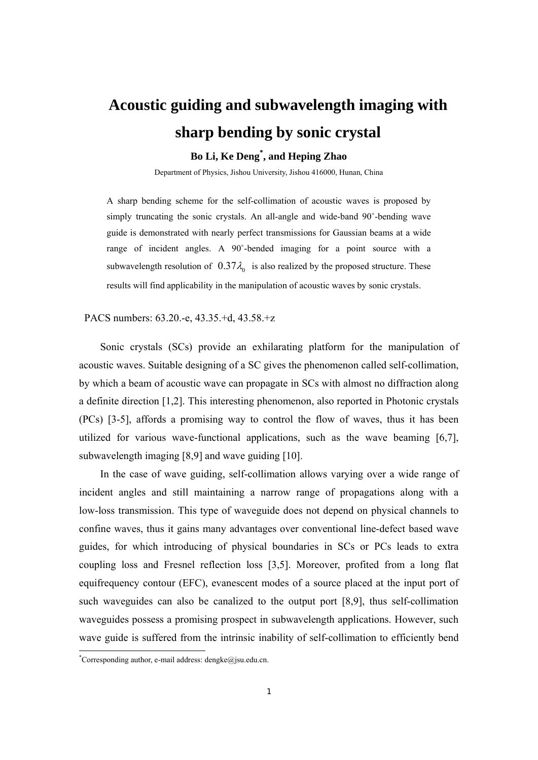## **Acoustic guiding and subwavelength imaging with sharp bending by sonic crystal**

## **Bo Li, Ke Deng\* , and Heping Zhao**

Department of Physics, Jishou University, Jishou 416000, Hunan, China

A sharp bending scheme for the self-collimation of acoustic waves is proposed by simply truncating the sonic crystals. An all-angle and wide-band 90˚-bending wave guide is demonstrated with nearly perfect transmissions for Gaussian beams at a wide range of incident angles. A 90˚-bended imaging for a point source with a subwavelength resolution of  $0.37\lambda_0$  is also realized by the proposed structure. These results will find applicability in the manipulation of acoustic waves by sonic crystals.

PACS numbers: 63.20.-e, 43.35.+d, 43.58.+z

Sonic crystals (SCs) provide an exhilarating platform for the manipulation of acoustic waves. Suitable designing of a SC gives the phenomenon called self-collimation, by which a beam of acoustic wave can propagate in SCs with almost no diffraction along a definite direction [1,2]. This interesting phenomenon, also reported in Photonic crystals (PCs) [3-5], affords a promising way to control the flow of waves, thus it has been utilized for various wave-functional applications, such as the wave beaming [6,7], subwavelength imaging [8,9] and wave guiding [10].

In the case of wave guiding, self-collimation allows varying over a wide range of incident angles and still maintaining a narrow range of propagations along with a low-loss transmission. This type of waveguide does not depend on physical channels to confine waves, thus it gains many advantages over conventional line-defect based wave guides, for which introducing of physical boundaries in SCs or PCs leads to extra coupling loss and Fresnel reflection loss [3,5]. Moreover, profited from a long flat equifrequency contour (EFC), evanescent modes of a source placed at the input port of such waveguides can also be canalized to the output port [8,9], thus self-collimation waveguides possess a promising prospect in subwavelength applications. However, such wave guide is suffered from the intrinsic inability of self-collimation to efficiently bend

 \* Corresponding author, e-mail address: dengke@jsu.edu.cn.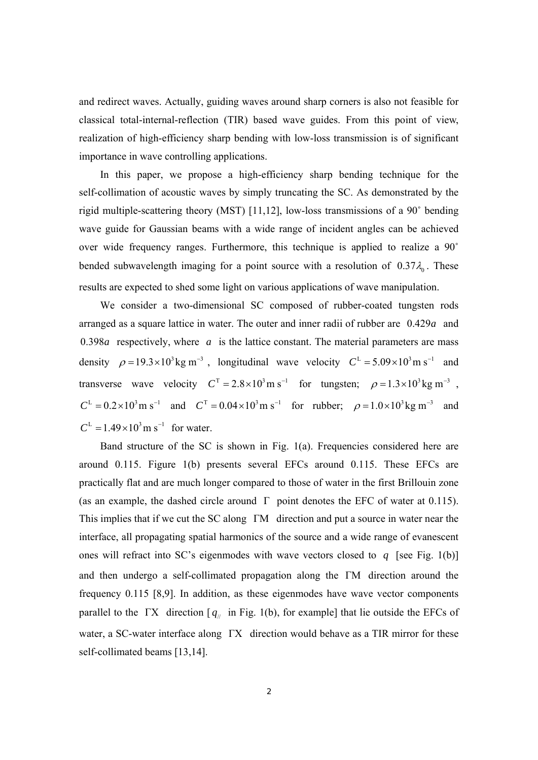and redirect waves. Actually, guiding waves around sharp corners is also not feasible for classical total-internal-reflection (TIR) based wave guides. From this point of view, realization of high-efficiency sharp bending with low-loss transmission is of significant importance in wave controlling applications.

In this paper, we propose a high-efficiency sharp bending technique for the self-collimation of acoustic waves by simply truncating the SC. As demonstrated by the rigid multiple-scattering theory (MST) [11,12], low-loss transmissions of a 90˚ bending wave guide for Gaussian beams with a wide range of incident angles can be achieved over wide frequency ranges. Furthermore, this technique is applied to realize a 90˚ bended subwavelength imaging for a point source with a resolution of  $0.37\lambda$ <sub>0</sub>. These results are expected to shed some light on various applications of wave manipulation.

We consider a two-dimensional SC composed of rubber-coated tungsten rods arranged as a square lattice in water. The outer and inner radii of rubber are 0.429*a* and 0.398*a* respectively, where *a* is the lattice constant. The material parameters are mass density  $\rho = 19.3 \times 10^{3}$  kg m<sup>-3</sup>, longitudinal wave velocity  $C^{L} = 5.09 \times 10^{3}$  m s<sup>-1</sup> and transverse wave velocity  $C<sup>T</sup> = 2.8 \times 10<sup>3</sup>$  m s<sup>−1</sup> for tungsten;  $\rho = 1.3 \times 10<sup>3</sup>$  kg m<sup>−3</sup>,  $C<sup>L</sup> = 0.2 \times 10<sup>3</sup>$  m s<sup>−1</sup> and  $C<sup>T</sup> = 0.04 \times 10<sup>3</sup>$  m s<sup>−1</sup> for rubber;  $\rho = 1.0 \times 10<sup>3</sup>$  kg m<sup>−3</sup> and  $C^{L} = 1.49 \times 10^{3}$  m s<sup>-1</sup> for water.

Band structure of the SC is shown in Fig. 1(a). Frequencies considered here are around 0.115. Figure 1(b) presents several EFCs around 0.115. These EFCs are practically flat and are much longer compared to those of water in the first Brillouin zone (as an example, the dashed circle around  $\Gamma$  point denotes the EFC of water at 0.115). This implies that if we cut the SC along ΓM direction and put a source in water near the interface, all propagating spatial harmonics of the source and a wide range of evanescent ones will refract into SC's eigenmodes with wave vectors closed to *q* [see Fig. 1(b)] and then undergo a self-collimated propagation along the ΓM direction around the frequency 0.115 [8,9]. In addition, as these eigenmodes have wave vector components parallel to the ΓX direction  $[q_{\mu}]$  in Fig. 1(b), for example] that lie outside the EFCs of water, a SC-water interface along ΓX direction would behave as a TIR mirror for these self-collimated beams [13,14].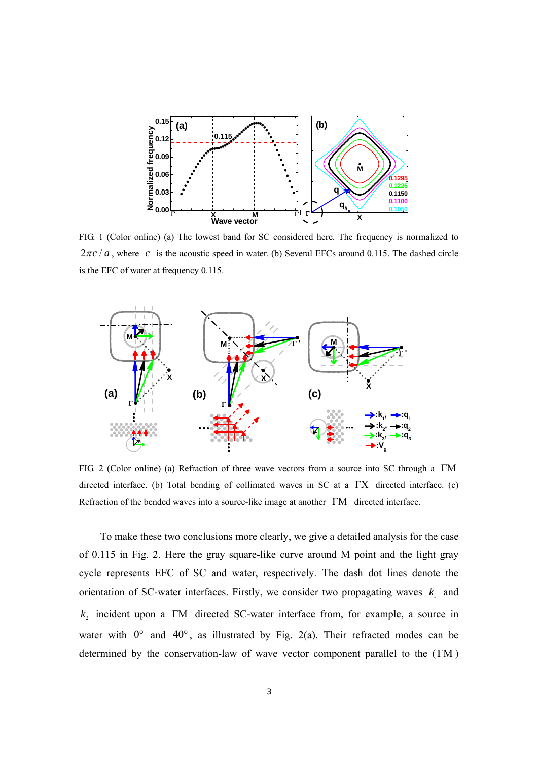

FIG. 1 (Color online) (a) The lowest band for SC considered here. The frequency is normalized to  $2\pi c/a$ , where *c* is the acoustic speed in water. (b) Several EFCs around 0.115. The dashed circle is the EFC of water at frequency 0.115.



FIG. 2 (Color online) (a) Refraction of three wave vectors from a source into SC through a ΓM directed interface. (b) Total bending of collimated waves in SC at a ΓX directed interface. (c) Refraction of the bended waves into a source-like image at another ΓM directed interface.

To make these two conclusions more clearly, we give a detailed analysis for the case of 0.115 in Fig. 2. Here the gray square-like curve around M point and the light gray cycle represents EFC of SC and water, respectively. The dash dot lines denote the orientation of SC-water interfaces. Firstly, we consider two propagating waves  $k_1$  and <sup>2</sup> *k* incident upon a ΓM directed SC-water interface from, for example, a source in water with  $0^{\circ}$  and  $40^{\circ}$ , as illustrated by Fig. 2(a). Their refracted modes can be determined by the conservation-law of wave vector component parallel to the (ΓM )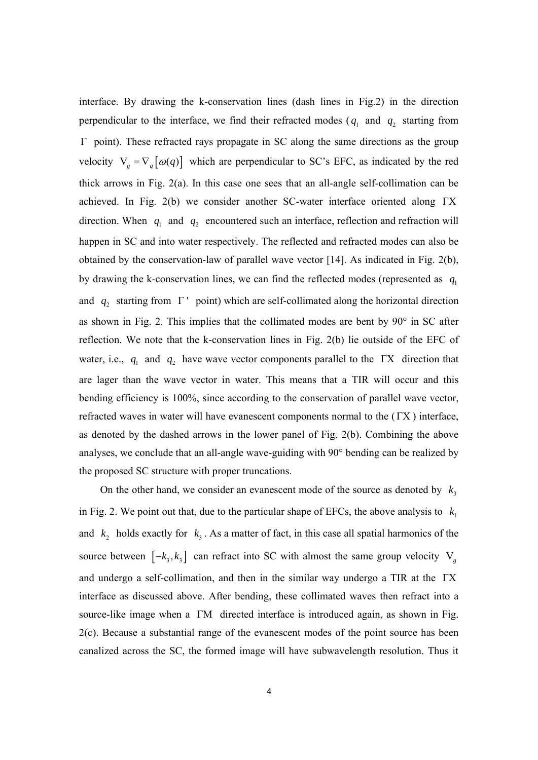interface. By drawing the k-conservation lines (dash lines in Fig.2) in the direction perpendicular to the interface, we find their refracted modes ( $q_1$  and  $q_2$  starting from Γ point). These refracted rays propagate in SC along the same directions as the group velocity  $V_g = \nabla_q [\omega(q)]$  which are perpendicular to SC's EFC, as indicated by the red thick arrows in Fig. 2(a). In this case one sees that an all-angle self-collimation can be achieved. In Fig. 2(b) we consider another SC-water interface oriented along ΓX direction. When  $q_1$  and  $q_2$  encountered such an interface, reflection and refraction will happen in SC and into water respectively. The reflected and refracted modes can also be obtained by the conservation-law of parallel wave vector [14]. As indicated in Fig. 2(b), by drawing the k-conservation lines, we can find the reflected modes (represented as  $q_1$ ) and  $q_2$  starting from  $\Gamma$  ' point) which are self-collimated along the horizontal direction as shown in Fig. 2. This implies that the collimated modes are bent by 90° in SC after reflection. We note that the k-conservation lines in Fig. 2(b) lie outside of the EFC of water, i.e.,  $q_1$  and  $q_2$  have wave vector components parallel to the ΓX direction that are lager than the wave vector in water. This means that a TIR will occur and this bending efficiency is 100%, since according to the conservation of parallel wave vector, refracted waves in water will have evanescent components normal to the (ΓX ) interface, as denoted by the dashed arrows in the lower panel of Fig. 2(b). Combining the above analyses, we conclude that an all-angle wave-guiding with 90° bending can be realized by the proposed SC structure with proper truncations.

On the other hand, we consider an evanescent mode of the source as denoted by  $k_3$ in Fig. 2. We point out that, due to the particular shape of EFCs, the above analysis to  $k_1$ and  $k_2$  holds exactly for  $k_3$ . As a matter of fact, in this case all spatial harmonics of the source between  $[-k_3, k_3]$  can refract into SC with almost the same group velocity V<sub>g</sub> and undergo a self-collimation, and then in the similar way undergo a TIR at the ΓX interface as discussed above. After bending, these collimated waves then refract into a source-like image when a ΓM directed interface is introduced again, as shown in Fig. 2(c). Because a substantial range of the evanescent modes of the point source has been canalized across the SC, the formed image will have subwavelength resolution. Thus it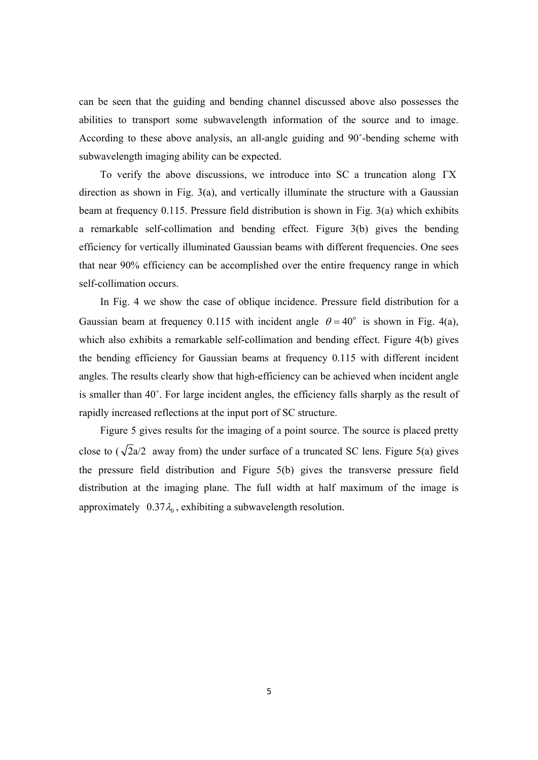can be seen that the guiding and bending channel discussed above also possesses the abilities to transport some subwavelength information of the source and to image. According to these above analysis, an all-angle guiding and 90˚-bending scheme with subwavelength imaging ability can be expected.

To verify the above discussions, we introduce into SC a truncation along ΓX direction as shown in Fig. 3(a), and vertically illuminate the structure with a Gaussian beam at frequency 0.115. Pressure field distribution is shown in Fig. 3(a) which exhibits a remarkable self-collimation and bending effect. Figure 3(b) gives the bending efficiency for vertically illuminated Gaussian beams with different frequencies. One sees that near 90% efficiency can be accomplished over the entire frequency range in which self-collimation occurs.

In Fig. 4 we show the case of oblique incidence. Pressure field distribution for a Gaussian beam at frequency 0.115 with incident angle  $\theta = 40^\circ$  is shown in Fig. 4(a), which also exhibits a remarkable self-collimation and bending effect. Figure 4(b) gives the bending efficiency for Gaussian beams at frequency 0.115 with different incident angles. The results clearly show that high-efficiency can be achieved when incident angle is smaller than 40˚. For large incident angles, the efficiency falls sharply as the result of rapidly increased reflections at the input port of SC structure.

Figure 5 gives results for the imaging of a point source. The source is placed pretty close to ( $\sqrt{2}a/2$  away from) the under surface of a truncated SC lens. Figure 5(a) gives the pressure field distribution and Figure 5(b) gives the transverse pressure field distribution at the imaging plane. The full width at half maximum of the image is approximately  $0.37\lambda_0$ , exhibiting a subwavelength resolution.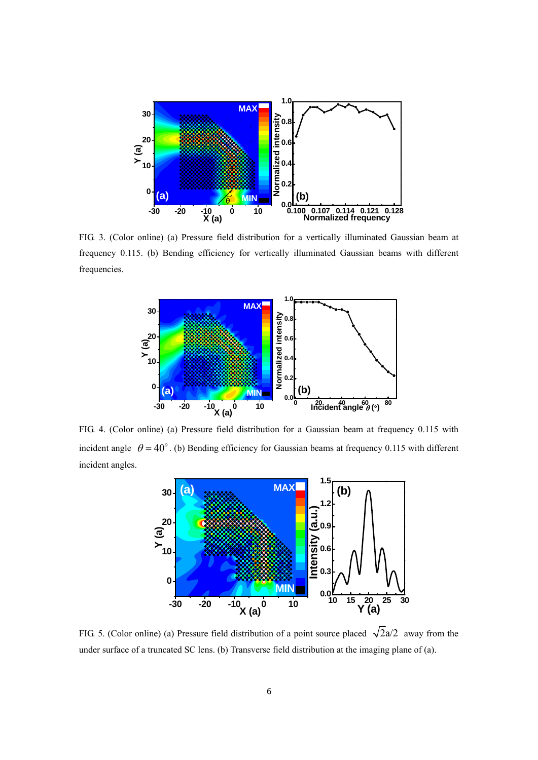

FIG. 3. (Color online) (a) Pressure field distribution for a vertically illuminated Gaussian beam at frequency 0.115. (b) Bending efficiency for vertically illuminated Gaussian beams with different frequencies.



FIG. 4. (Color online) (a) Pressure field distribution for a Gaussian beam at frequency 0.115 with incident angle  $\theta = 40^\circ$ . (b) Bending efficiency for Gaussian beams at frequency 0.115 with different incident angles.



FIG. 5. (Color online) (a) Pressure field distribution of a point source placed  $\sqrt{2}a/2$  away from the under surface of a truncated SC lens. (b) Transverse field distribution at the imaging plane of (a).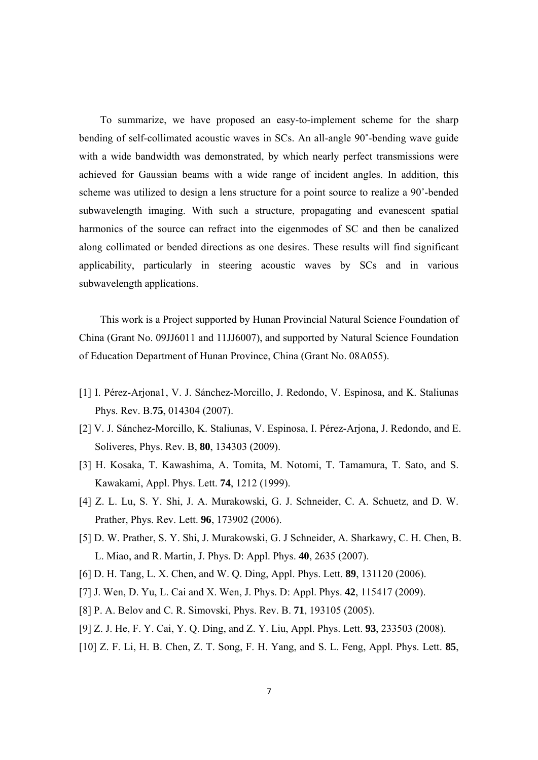To summarize, we have proposed an easy-to-implement scheme for the sharp bending of self-collimated acoustic waves in SCs. An all-angle 90˚-bending wave guide with a wide bandwidth was demonstrated, by which nearly perfect transmissions were achieved for Gaussian beams with a wide range of incident angles. In addition, this scheme was utilized to design a lens structure for a point source to realize a 90˚-bended subwavelength imaging. With such a structure, propagating and evanescent spatial harmonics of the source can refract into the eigenmodes of SC and then be canalized along collimated or bended directions as one desires. These results will find significant applicability, particularly in steering acoustic waves by SCs and in various subwavelength applications.

This work is a Project supported by Hunan Provincial Natural Science Foundation of China (Grant No. 09JJ6011 and 11JJ6007), and supported by Natural Science Foundation of Education Department of Hunan Province, China (Grant No. 08A055).

- [1] I. Pérez-Arjona1, V. J. Sánchez-Morcillo, J. Redondo, V. Espinosa, and K. Staliunas Phys. Rev. B.**75**, 014304 (2007).
- [2] V. J. Sánchez-Morcillo, K. Staliunas, V. Espinosa, I. Pérez-Arjona, J. Redondo, and E. Soliveres, Phys. Rev. B, **80**, 134303 (2009).
- [3] H. Kosaka, T. Kawashima, A. Tomita, M. Notomi, T. Tamamura, T. Sato, and S. Kawakami, Appl. Phys. Lett. **74**, 1212 (1999).
- [4] Z. L. Lu, S. Y. Shi, J. A. Murakowski, G. J. Schneider, C. A. Schuetz, and D. W. Prather, Phys. Rev. Lett. **96**, 173902 (2006).
- [5] D. W. Prather, S. Y. Shi, J. Murakowski, G. J Schneider, A. Sharkawy, C. H. Chen, B. L. Miao, and R. Martin, J. Phys. D: Appl. Phys. **40**, 2635 (2007).
- [6] D. H. Tang, L. X. Chen, and W. Q. Ding, Appl. Phys. Lett. **89**, 131120 (2006).
- [7] J. Wen, D. Yu, L. Cai and X. Wen, J. Phys. D: Appl. Phys. **42**, 115417 (2009).
- [8] P. A. Belov and C. R. Simovski, Phys. Rev. B. **71**, 193105 (2005).
- [9] Z. J. He, F. Y. Cai, Y. Q. Ding, and Z. Y. Liu, Appl. Phys. Lett. **93**, 233503 (2008).
- [10] Z. F. Li, H. B. Chen, Z. T. Song, F. H. Yang, and S. L. Feng, Appl. Phys. Lett. **85**,